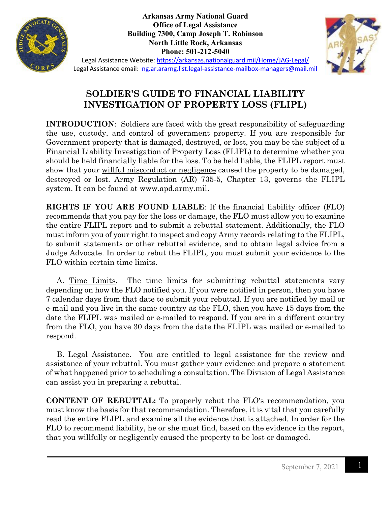

**Arkansas Army National Guard Office of Legal Assistance Building 7300, Camp Joseph T. Robinson North Little Rock, Arkansas Phone: 501-212-5040**



Legal Assistance Website:<https://arkansas.nationalguard.mil/Home/JAG-Legal/> Legal Assistance email: [ng.ar.ararng.list.legal-assistance-mailbox-managers@mail.mil](mailto:ng.ar.ararng.list.legal-assistance-mailbox-managers@mail.mil)

## **SOLDIER'S GUIDE TO FINANCIAL LIABILITY INVESTIGATION OF PROPERTY LOSS (FLIPL)**

**INTRODUCTION**: Soldiers are faced with the great responsibility of safeguarding the use, custody, and control of government property. If you are responsible for Government property that is damaged, destroyed, or lost, you may be the subject of a Financial Liability Investigation of Property Loss (FLIPL) to determine whether you should be held financially liable for the loss. To be held liable, the FLIPL report must show that your willful misconduct or negligence caused the property to be damaged, destroyed or lost. Army Regulation (AR) 735-5, Chapter 13, governs the FLIPL system. It can be found at www.apd.army.mil.

**RIGHTS IF YOU ARE FOUND LIABLE**: If the financial liability officer (FLO) recommends that you pay for the loss or damage, the FLO must allow you to examine the entire FLIPL report and to submit a rebuttal statement. Additionally, the FLO must inform you of your right to inspect and copy Army records relating to the FLIPL, to submit statements or other rebuttal evidence, and to obtain legal advice from a Judge Advocate. In order to rebut the FLIPL, you must submit your evidence to the FLO within certain time limits.

 A. Time Limits. The time limits for submitting rebuttal statements vary depending on how the FLO notified you. If you were notified in person, then you have 7 calendar days from that date to submit your rebuttal. If you are notified by mail or e-mail and you live in the same country as the FLO, then you have 15 days from the date the FLIPL was mailed or e-mailed to respond. If you are in a different country from the FLO, you have 30 days from the date the FLIPL was mailed or e-mailed to respond.

 B. Legal Assistance. You are entitled to legal assistance for the review and assistance of your rebuttal. You must gather your evidence and prepare a statement of what happened prior to scheduling a consultation. The Division of Legal Assistance can assist you in preparing a rebuttal.

**CONTENT OF REBUTTAL:** To properly rebut the FLO's recommendation, you must know the basis for that recommendation. Therefore, it is vital that you carefully read the entire FLIPL and examine all the evidence that is attached. In order for the FLO to recommend liability, he or she must find, based on the evidence in the report, that you willfully or negligently caused the property to be lost or damaged.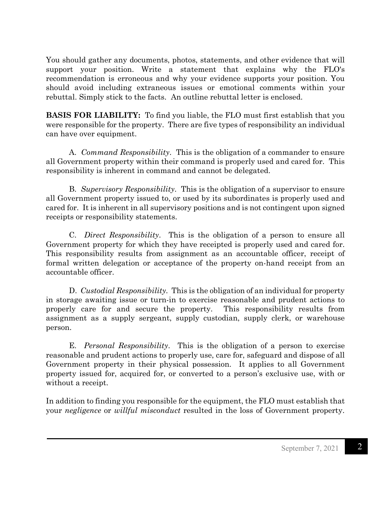You should gather any documents, photos, statements, and other evidence that will support your position. Write a statement that explains why the FLO's recommendation is erroneous and why your evidence supports your position. You should avoid including extraneous issues or emotional comments within your rebuttal. Simply stick to the facts. An outline rebuttal letter is enclosed.

**BASIS FOR LIABILITY:** To find you liable, the FLO must first establish that you were responsible for the property. There are five types of responsibility an individual can have over equipment.

 A. *Command Responsibility*. This is the obligation of a commander to ensure all Government property within their command is properly used and cared for. This responsibility is inherent in command and cannot be delegated.

B. *Supervisory Responsibility*. This is the obligation of a supervisor to ensure all Government property issued to, or used by its subordinates is properly used and cared for. It is inherent in all supervisory positions and is not contingent upon signed receipts or responsibility statements.

C. *Direct Responsibility*. This is the obligation of a person to ensure all Government property for which they have receipted is properly used and cared for. This responsibility results from assignment as an accountable officer, receipt of formal written delegation or acceptance of the property on-hand receipt from an accountable officer.

D. *Custodial Responsibility.* This is the obligation of an individual for property in storage awaiting issue or turn-in to exercise reasonable and prudent actions to properly care for and secure the property. This responsibility results from assignment as a supply sergeant, supply custodian, supply clerk, or warehouse person.

E. *Personal Responsibility*. This is the obligation of a person to exercise reasonable and prudent actions to properly use, care for, safeguard and dispose of all Government property in their physical possession. It applies to all Government property issued for, acquired for, or converted to a person's exclusive use, with or without a receipt.

In addition to finding you responsible for the equipment, the FLO must establish that your *negligence* or *willful misconduct* resulted in the loss of Government property.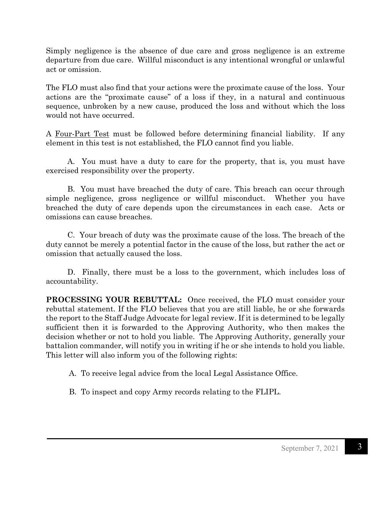Simply negligence is the absence of due care and gross negligence is an extreme departure from due care. Willful misconduct is any intentional wrongful or unlawful act or omission.

The FLO must also find that your actions were the proximate cause of the loss. Your actions are the "proximate cause" of a loss if they, in a natural and continuous sequence, unbroken by a new cause, produced the loss and without which the loss would not have occurred.

A Four-Part Test must be followed before determining financial liability. If any element in this test is not established, the FLO cannot find you liable.

 A. You must have a duty to care for the property, that is, you must have exercised responsibility over the property.

 B. You must have breached the duty of care. This breach can occur through simple negligence, gross negligence or willful misconduct. Whether you have breached the duty of care depends upon the circumstances in each case. Acts or omissions can cause breaches.

 C. Your breach of duty was the proximate cause of the loss. The breach of the duty cannot be merely a potential factor in the cause of the loss, but rather the act or omission that actually caused the loss.

 D. Finally, there must be a loss to the government, which includes loss of accountability.

**PROCESSING YOUR REBUTTAL:** Once received, the FLO must consider your rebuttal statement. If the FLO believes that you are still liable, he or she forwards the report to the Staff Judge Advocate for legal review. If it is determined to be legally sufficient then it is forwarded to the Approving Authority, who then makes the decision whether or not to hold you liable. The Approving Authority, generally your battalion commander, will notify you in writing if he or she intends to hold you liable. This letter will also inform you of the following rights:

A. To receive legal advice from the local Legal Assistance Office.

B. To inspect and copy Army records relating to the FLIPL.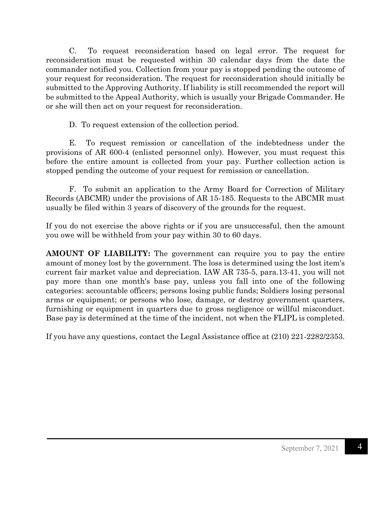C. To request reconsideration based on legal error. The request for reconsideration must be requested within 30 calendar days from the date the commander notified you. Collection from your pay is stopped pending the outcome of your request for reconsideration. The request for reconsideration should initially be submitted to the Approving Authority. If liability is still recommended the report will be submitted to the Appeal Authority, which is usually your Brigade Commander. He or she will then act on your request for reconsideration.

D. To request extension of the collection period.

 E. To request remission or cancellation of the indebtedness under the provisions of AR 600-4 (enlisted personnel only). However, you must request this before the entire amount is collected from your pay. Further collection action is stopped pending the outcome of your request for remission or cancellation.

F. To submit an application to the Army Board for Correction of Military Records (ABCMR) under the provisions of AR 15-185. Requests to the ABCMR must usually be filed within 3 years of discovery of the grounds for the request.

If you do not exercise the above rights or if you are unsuccessful, then the amount you owe will be withheld from your pay within 30 to 60 days.

**AMOUNT OF LIABILITY:** The government can require you to pay the entire amount of money lost by the government. The loss is determined using the lost item's current fair market value and depreciation. IAW AR 735-5, para.13-41, you will not pay more than one month's base pay, unless you fall into one of the following categories: accountable officers; persons losing public funds; Soldiers losing personal arms or equipment; or persons who lose, damage, or destroy government quarters, furnishing or equipment in quarters due to gross negligence or willful misconduct. Base pay is determined at the time of the incident, not when the FLIPL is completed.

If you have any questions, contact the Legal Assistance office at (210) 221-2282/2353.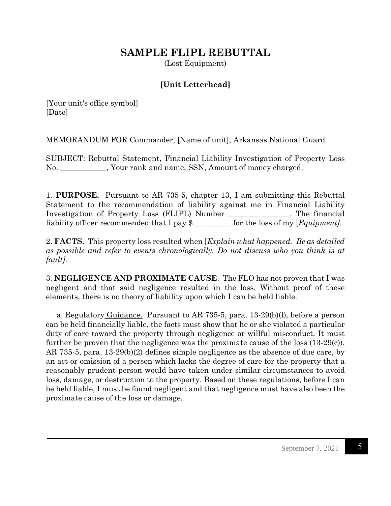## **SAMPLE FLIPL REBUTTAL**

(Lost Equipment)

## **[Unit Letterhead]**

[Your unit's office symbol] [Date]

MEMORANDUM FOR Commander, [Name of unit], Arkansas National Guard

SUBJECT: Rebuttal Statement, Financial Liability Investigation of Property Loss No. \_\_\_\_\_\_\_\_\_\_\_\_, Your rank and name, SSN, Amount of money charged.

1. **PURPOSE.** Pursuant to AR 735-5, chapter 13, I am submitting this Rebuttal Statement to the recommendation of liability against me in Financial Liability Investigation of Property Loss (FLIPL) Number \_\_\_\_\_\_\_\_\_\_\_\_\_\_\_\_. The financial liability officer recommended that I pay \$\_\_\_\_\_\_\_\_\_\_ for the loss of my [*Equipment].*

2. **FACTS.** This property loss resulted when [*Explain what happened. Be as detailed as possible and refer to events chronologically. Do not discuss who you think is at fault].*

3. **NEGLIGENCE AND PROXIMATE CAUSE**. The FLO has not proven that I was negligent and that said negligence resulted in the loss. Without proof of these elements, there is no theory of liability upon which I can be held liable.

a. Regulatory Guidance. Pursuant to AR 735-5, para.  $13{\cdot}29(b)(l)$ , before a person can be held financially liable, the facts must show that he or she violated a particular duty of care toward the property through negligence or willful misconduct. It must further be proven that the negligence was the proximate cause of the loss (13-29(c)). AR 735-5, para. 13-29(b)(2) defines simple negligence as the absence of due care, by an act or omission of a person which lacks the degree of care for the property that a reasonably prudent person would have taken under similar circumstances to avoid loss, damage, or destruction to the property. Based on these regulations, before I can be held liable, I must be found negligent and that negligence must have also been the proximate cause of the loss or damage*.*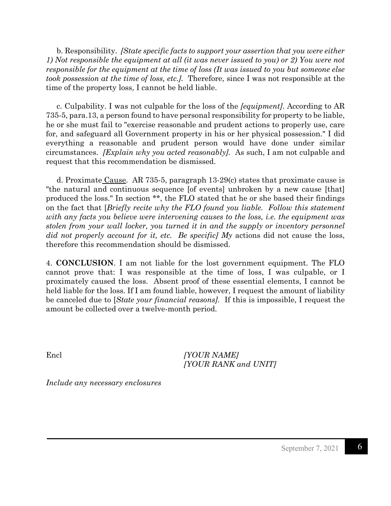b. Responsibility. *[State specific facts to support your assertion that you were either 1) Not responsible the equipment at all (it was never issued to you) or 2) You were not responsible for the equipment at the time of loss (It was issued to you but someone else took possession at the time of loss, etc.].* Therefore, since I was not responsible at the time of the property loss, I cannot be held liable.

 c. Culpability. I was not culpable for the loss of the *[equipment]*. According to AR 735-5, para.13, a person found to have personal responsibility for property to be liable, he or she must fail to "exercise reasonable and prudent actions to properly use, care for, and safeguard all Government property in his or her physical possession." I did everything a reasonable and prudent person would have done under similar circumstances. *[Explain why you acted reasonably].* As such, I am not culpable and request that this recommendation be dismissed.

 d. Proximate Cause. AR 735-5, paragraph 13-29(c) states that proximate cause is "the natural and continuous sequence [of events] unbroken by a new cause [that] produced the loss." In section \*\*, the FLO stated that he or she based their findings on the fact that [*Briefly recite why the FLO found you liable. Follow this statement with any facts you believe were intervening causes to the loss, i.e. the equipment was stolen from your wall locker, you turned it in and the supply or inventory personnel did not properly account for it, etc. Be specific] My* actions did not cause the loss, therefore this recommendation should be dismissed.

4. **CONCLUSION**. I am not liable for the lost government equipment. The FLO cannot prove that: I was responsible at the time of loss, I was culpable, or I proximately caused the loss. Absent proof of these essential elements, I cannot be held liable for the loss. If I am found liable, however, I request the amount of liability be canceled due to [*State your financial reasons].* If this is impossible, I request the amount be collected over a twelve-month period.

Encl *[YOUR NAME] [YOUR RANK and UNIT]*

*Include any necessary enclosures*